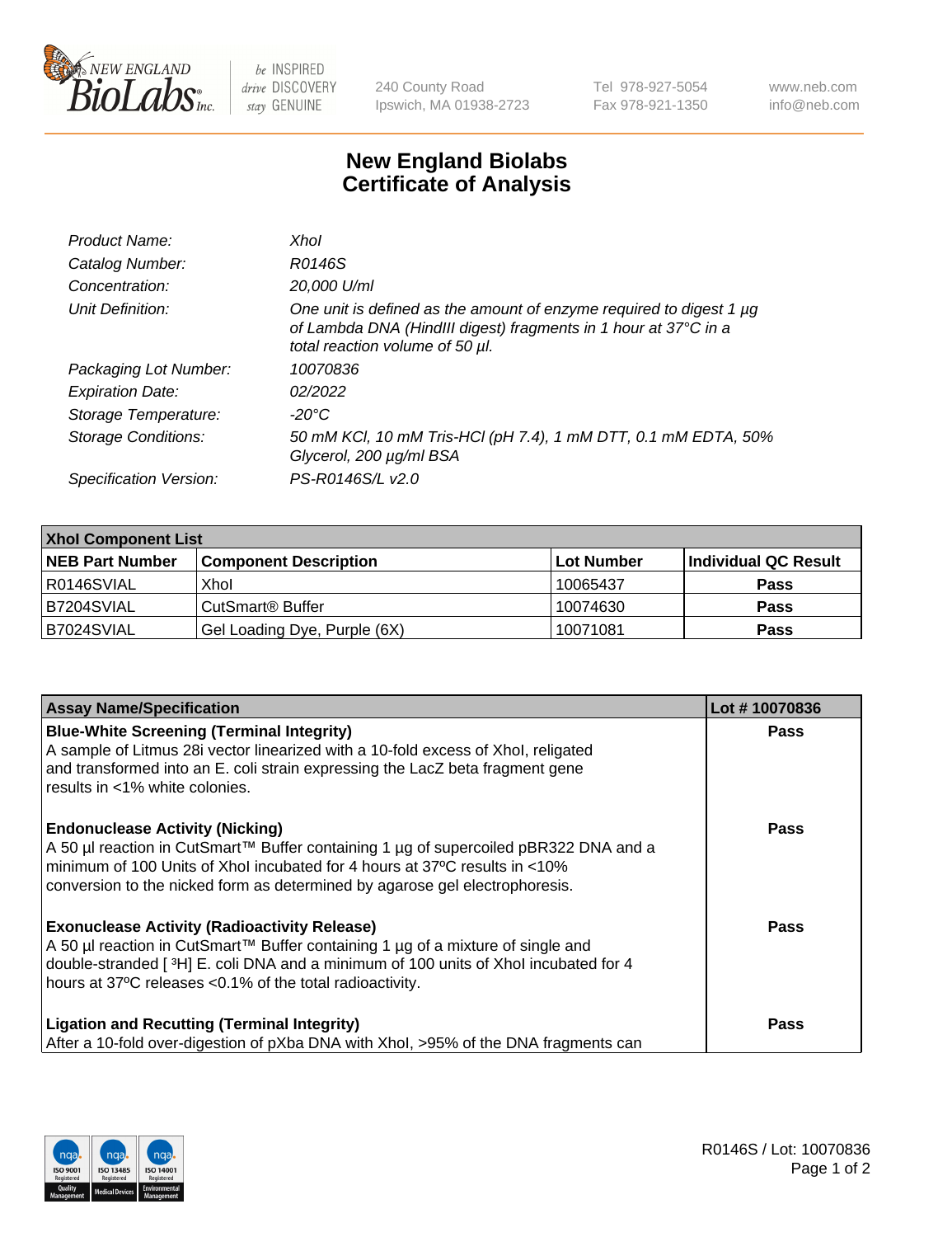

 $be$  INSPIRED drive DISCOVERY stay GENUINE

240 County Road Ipswich, MA 01938-2723 Tel 978-927-5054 Fax 978-921-1350 www.neb.com info@neb.com

## **New England Biolabs Certificate of Analysis**

| Product Name:              | Xhol                                                                                                                                                                      |
|----------------------------|---------------------------------------------------------------------------------------------------------------------------------------------------------------------------|
| Catalog Number:            | R0146S                                                                                                                                                                    |
| Concentration:             | 20,000 U/ml                                                                                                                                                               |
| Unit Definition:           | One unit is defined as the amount of enzyme required to digest 1 µg<br>of Lambda DNA (HindIII digest) fragments in 1 hour at 37°C in a<br>total reaction volume of 50 µl. |
| Packaging Lot Number:      | 10070836                                                                                                                                                                  |
| <b>Expiration Date:</b>    | 02/2022                                                                                                                                                                   |
| Storage Temperature:       | -20°C                                                                                                                                                                     |
| <b>Storage Conditions:</b> | 50 mM KCl, 10 mM Tris-HCl (pH 7.4), 1 mM DTT, 0.1 mM EDTA, 50%<br>Glycerol, 200 µg/ml BSA                                                                                 |
| Specification Version:     | PS-R0146S/L v2.0                                                                                                                                                          |

| <b>Xhol Component List</b> |                              |             |                      |  |  |
|----------------------------|------------------------------|-------------|----------------------|--|--|
| <b>NEB Part Number</b>     | <b>Component Description</b> | ∣Lot Number | Individual QC Result |  |  |
| R0146SVIAL                 | Xhol                         | 10065437    | <b>Pass</b>          |  |  |
| IB7204SVIAL                | CutSmart® Buffer             | 10074630    | <b>Pass</b>          |  |  |
| B7024SVIAL                 | Gel Loading Dye, Purple (6X) | 10071081    | <b>Pass</b>          |  |  |

| <b>Assay Name/Specification</b>                                                                                                                                                                                                                                                             | Lot #10070836 |
|---------------------------------------------------------------------------------------------------------------------------------------------------------------------------------------------------------------------------------------------------------------------------------------------|---------------|
| <b>Blue-White Screening (Terminal Integrity)</b><br>A sample of Litmus 28i vector linearized with a 10-fold excess of Xhol, religated<br>and transformed into an E. coli strain expressing the LacZ beta fragment gene<br>results in <1% white colonies.                                    | <b>Pass</b>   |
| <b>Endonuclease Activity (Nicking)</b><br>A 50 µl reaction in CutSmart™ Buffer containing 1 µg of supercoiled pBR322 DNA and a<br>minimum of 100 Units of Xhol incubated for 4 hours at 37°C results in <10%<br>conversion to the nicked form as determined by agarose gel electrophoresis. | <b>Pass</b>   |
| <b>Exonuclease Activity (Radioactivity Release)</b><br>A 50 µl reaction in CutSmart™ Buffer containing 1 µg of a mixture of single and<br>double-stranded [3H] E. coli DNA and a minimum of 100 units of Xhol incubated for 4<br>hours at 37°C releases <0.1% of the total radioactivity.   | Pass          |
| <b>Ligation and Recutting (Terminal Integrity)</b><br>After a 10-fold over-digestion of pXba DNA with Xhol, >95% of the DNA fragments can                                                                                                                                                   | <b>Pass</b>   |